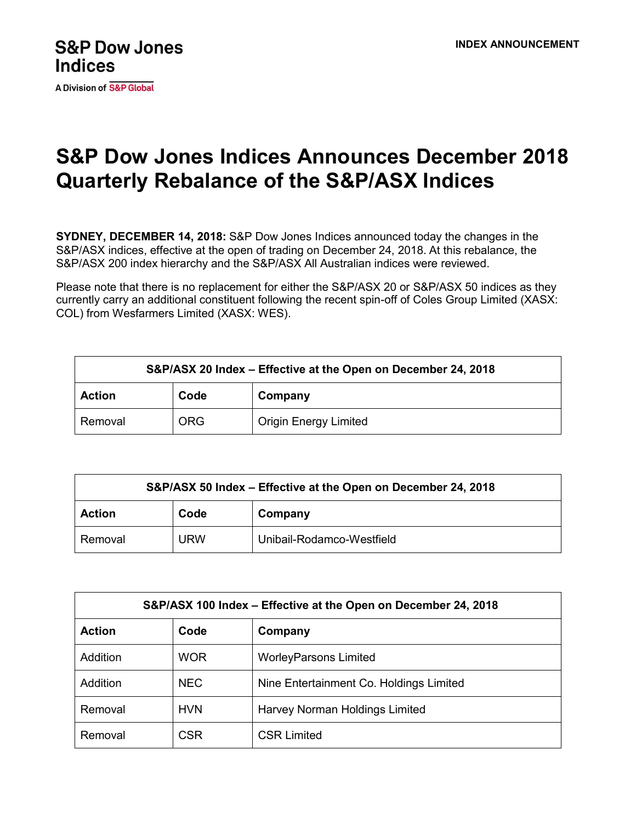A Division of S&P Global

## **S&P Dow Jones Indices Announces December 2018 Quarterly Rebalance of the S&P/ASX Indices**

**SYDNEY, DECEMBER 14, 2018:** S&P Dow Jones Indices announced today the changes in the S&P/ASX indices, effective at the open of trading on December 24, 2018. At this rebalance, the S&P/ASX 200 index hierarchy and the S&P/ASX All Australian indices were reviewed.

Please note that there is no replacement for either the S&P/ASX 20 or S&P/ASX 50 indices as they currently carry an additional constituent following the recent spin-off of Coles Group Limited (XASX: COL) from Wesfarmers Limited (XASX: WES).

| S&P/ASX 20 Index – Effective at the Open on December 24, 2018 |            |                              |  |  |
|---------------------------------------------------------------|------------|------------------------------|--|--|
| <b>Action</b>                                                 | Code       | Company                      |  |  |
| Removal                                                       | <b>ORG</b> | <b>Origin Energy Limited</b> |  |  |

| S&P/ASX 50 Index - Effective at the Open on December 24, 2018 |            |                           |  |  |
|---------------------------------------------------------------|------------|---------------------------|--|--|
| <b>Action</b>                                                 | Code       | Company                   |  |  |
| Removal                                                       | <b>URW</b> | Unibail-Rodamco-Westfield |  |  |

| S&P/ASX 100 Index – Effective at the Open on December 24, 2018 |            |                                         |  |  |
|----------------------------------------------------------------|------------|-----------------------------------------|--|--|
| <b>Action</b>                                                  | Code       | Company                                 |  |  |
| Addition                                                       | <b>WOR</b> | <b>WorleyParsons Limited</b>            |  |  |
| Addition                                                       | <b>NEC</b> | Nine Entertainment Co. Holdings Limited |  |  |
| Removal                                                        | <b>HVN</b> | Harvey Norman Holdings Limited          |  |  |
| Removal                                                        | <b>CSR</b> | <b>CSR Limited</b>                      |  |  |